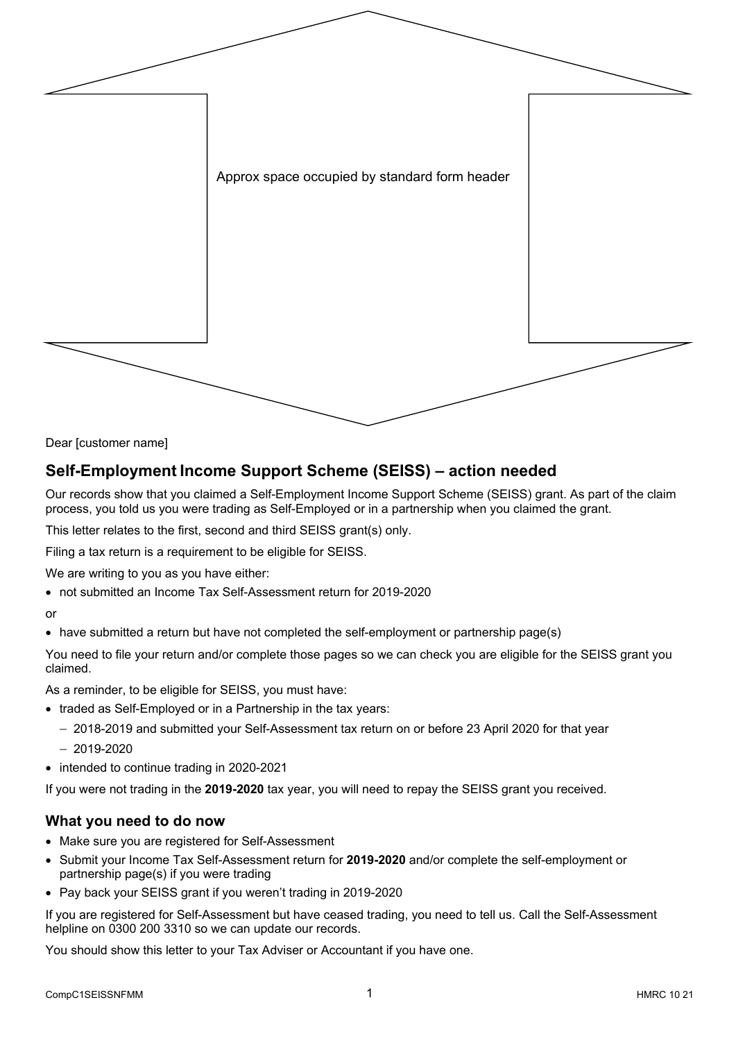

Dear [customer name]

# **Self-Employment Income Support Scheme (SEISS) – action needed**

Our records show that you claimed a Self-Employment Income Support Scheme (SEISS) grant. As part of the claim process, you told us you were trading as Self-Employed or in a partnership when you claimed the grant.

This letter relates to the first, second and third SEISS grant(s) only.

Filing a tax return is a requirement to be eligible for SEISS.

We are writing to you as you have either:

• not submitted an Income Tax Self-Assessment return for 2019-2020

or

• have submitted a return but have not completed the self-employment or partnership page(s)

You need to file your return and/or complete those pages so we can check you are eligible for the SEISS grant you claimed.

As a reminder, to be eligible for SEISS, you must have:

- traded as Self-Employed or in a Partnership in the tax years:
	- − 2018-2019 and submitted your Self-Assessment tax return on or before 23 April 2020 for that year
	- − 2019-2020
- intended to continue trading in 2020-2021

If you were not trading in the **2019-2020** tax year, you will need to repay the SEISS grant you received.

#### **What you need to do now**

- Make sure you are registered for Self-Assessment
- Submit your Income Tax Self-Assessment return for **2019-2020** and/or complete the self-employment or partnership page(s) if you were trading
- Pay back your SEISS grant if you weren't trading in 2019-2020

If you are registered for Self-Assessment but have ceased trading, you need to tell us. Call the Self-Assessment helpline on 0300 200 3310 so we can update our records.

You should show this letter to your Tax Adviser or Accountant if you have one.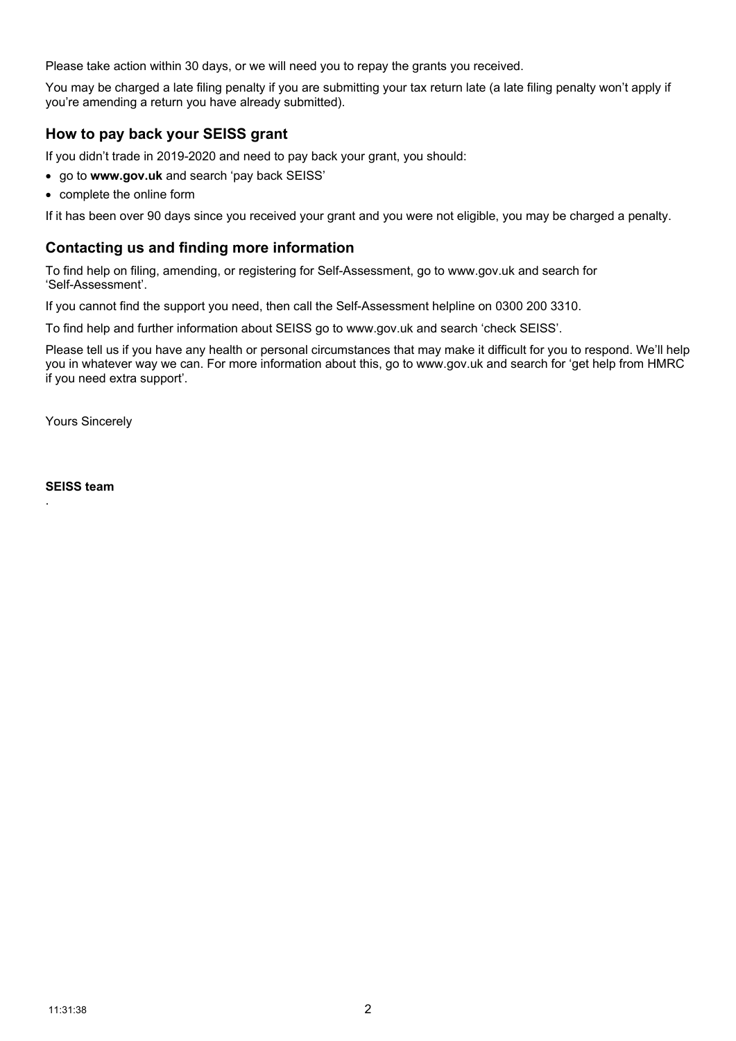Please take action within 30 days, or we will need you to repay the grants you received.

You may be charged a late filing penalty if you are submitting your tax return late (a late filing penalty won't apply if you're amending a return you have already submitted).

### **How to pay back your SEISS grant**

If you didn't trade in 2019-2020 and need to pay back your grant, you should:

- go to **www.gov.uk** and search 'pay back SEISS'
- complete the online form

If it has been over 90 days since you received your grant and you were not eligible, you may be charged a penalty.

### **Contacting us and finding more information**

To find help on filing, amending, or registering for Self-Assessment, go to www.gov.uk and search for 'Self-Assessment'.

If you cannot find the support you need, then call the Self-Assessment helpline on 0300 200 3310.

To find help and further information about SEISS go to www.gov.uk and search 'check SEISS'.

Please tell us if you have any health or personal circumstances that may make it difficult for you to respond. We'll help you in whatever way we can. For more information about this, go to www.gov.uk and search for 'get help from HMRC if you need extra support'.

Yours Sincerely

**SEISS team**

.